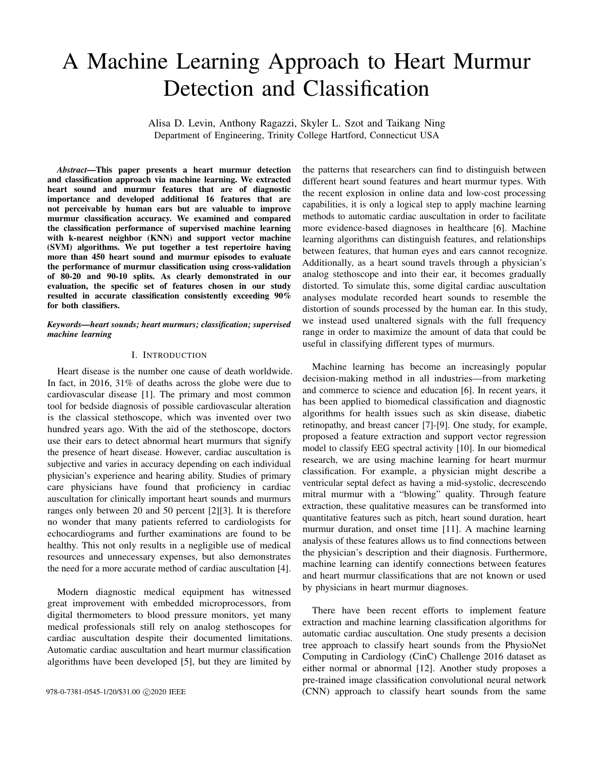# A Machine Learning Approach to Heart Murmur Detection and Classification

Alisa D. Levin, Anthony Ragazzi, Skyler L. Szot and Taikang Ning Department of Engineering, Trinity College Hartford, Connecticut USA

*Abstract*—This paper presents a heart murmur detection and classification approach via machine learning. We extracted heart sound and murmur features that are of diagnostic importance and developed additional 16 features that are not perceivable by human ears but are valuable to improve murmur classification accuracy. We examined and compared the classification performance of supervised machine learning with k-nearest neighbor (KNN) and support vector machine (SVM) algorithms. We put together a test repertoire having more than 450 heart sound and murmur episodes to evaluate the performance of murmur classification using cross-validation of 80-20 and 90-10 splits. As clearly demonstrated in our evaluation, the specific set of features chosen in our study resulted in accurate classification consistently exceeding 90% for both classifiers.

## *Keywords—heart sounds; heart murmurs; classification; supervised machine learning*

## I. INTRODUCTION

Heart disease is the number one cause of death worldwide. In fact, in 2016, 31% of deaths across the globe were due to cardiovascular disease [1]. The primary and most common tool for bedside diagnosis of possible cardiovascular alteration is the classical stethoscope, which was invented over two hundred years ago. With the aid of the stethoscope, doctors use their ears to detect abnormal heart murmurs that signify the presence of heart disease. However, cardiac auscultation is subjective and varies in accuracy depending on each individual physician's experience and hearing ability. Studies of primary care physicians have found that proficiency in cardiac auscultation for clinically important heart sounds and murmurs ranges only between 20 and 50 percent [2][3]. It is therefore no wonder that many patients referred to cardiologists for echocardiograms and further examinations are found to be healthy. This not only results in a negligible use of medical resources and unnecessary expenses, but also demonstrates the need for a more accurate method of cardiac auscultation [4].

Modern diagnostic medical equipment has witnessed great improvement with embedded microprocessors, from digital thermometers to blood pressure monitors, yet many medical professionals still rely on analog stethoscopes for cardiac auscultation despite their documented limitations. Automatic cardiac auscultation and heart murmur classification algorithms have been developed [5], but they are limited by

the patterns that researchers can find to distinguish between different heart sound features and heart murmur types. With the recent explosion in online data and low-cost processing capabilities, it is only a logical step to apply machine learning methods to automatic cardiac auscultation in order to facilitate more evidence-based diagnoses in healthcare [6]. Machine learning algorithms can distinguish features, and relationships between features, that human eyes and ears cannot recognize. Additionally, as a heart sound travels through a physician's analog stethoscope and into their ear, it becomes gradually distorted. To simulate this, some digital cardiac auscultation analyses modulate recorded heart sounds to resemble the distortion of sounds processed by the human ear. In this study, we instead used unaltered signals with the full frequency range in order to maximize the amount of data that could be useful in classifying different types of murmurs.

Machine learning has become an increasingly popular decision-making method in all industries—from marketing and commerce to science and education [6]. In recent years, it has been applied to biomedical classification and diagnostic algorithms for health issues such as skin disease, diabetic retinopathy, and breast cancer [7]-[9]. One study, for example, proposed a feature extraction and support vector regression model to classify EEG spectral activity [10]. In our biomedical research, we are using machine learning for heart murmur classification. For example, a physician might describe a ventricular septal defect as having a mid-systolic, decrescendo mitral murmur with a "blowing" quality. Through feature extraction, these qualitative measures can be transformed into quantitative features such as pitch, heart sound duration, heart murmur duration, and onset time [11]. A machine learning analysis of these features allows us to find connections between the physician's description and their diagnosis. Furthermore, machine learning can identify connections between features and heart murmur classifications that are not known or used by physicians in heart murmur diagnoses.

There have been recent efforts to implement feature extraction and machine learning classification algorithms for automatic cardiac auscultation. One study presents a decision tree approach to classify heart sounds from the PhysioNet Computing in Cardiology (CinC) Challenge 2016 dataset as either normal or abnormal [12]. Another study proposes a pre-trained image classification convolutional neural network 978-0-7381-0545-1/20/\$31.00 ©2020 IEEE (CNN) approach to classify heart sounds from the same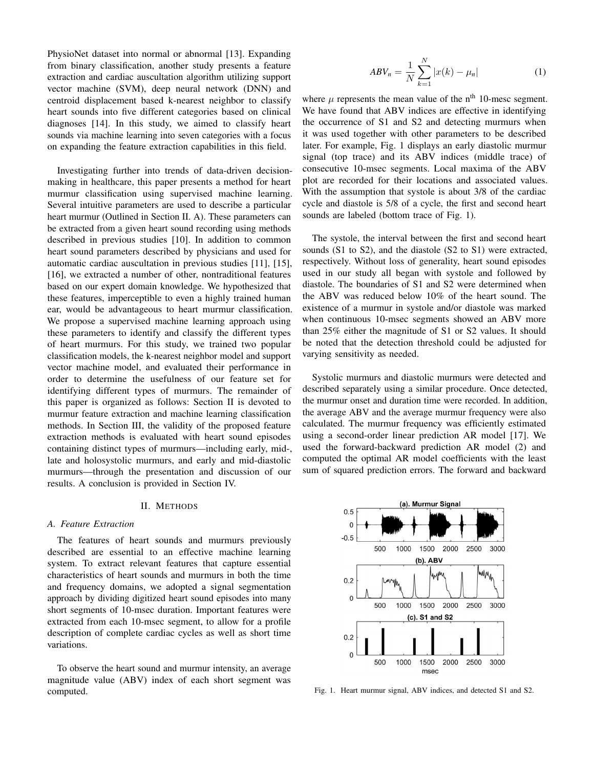PhysioNet dataset into normal or abnormal [13]. Expanding from binary classification, another study presents a feature extraction and cardiac auscultation algorithm utilizing support vector machine (SVM), deep neural network (DNN) and centroid displacement based k-nearest neighbor to classify heart sounds into five different categories based on clinical diagnoses [14]. In this study, we aimed to classify heart sounds via machine learning into seven categories with a focus on expanding the feature extraction capabilities in this field.

Investigating further into trends of data-driven decisionmaking in healthcare, this paper presents a method for heart murmur classification using supervised machine learning. Several intuitive parameters are used to describe a particular heart murmur (Outlined in Section II. A). These parameters can be extracted from a given heart sound recording using methods described in previous studies [10]. In addition to common heart sound parameters described by physicians and used for automatic cardiac auscultation in previous studies [11], [15], [16], we extracted a number of other, nontraditional features based on our expert domain knowledge. We hypothesized that these features, imperceptible to even a highly trained human ear, would be advantageous to heart murmur classification. We propose a supervised machine learning approach using these parameters to identify and classify the different types of heart murmurs. For this study, we trained two popular classification models, the k-nearest neighbor model and support vector machine model, and evaluated their performance in order to determine the usefulness of our feature set for identifying different types of murmurs. The remainder of this paper is organized as follows: Section II is devoted to murmur feature extraction and machine learning classification methods. In Section III, the validity of the proposed feature extraction methods is evaluated with heart sound episodes containing distinct types of murmurs—including early, mid-, late and holosystolic murmurs, and early and mid-diastolic murmurs—through the presentation and discussion of our results. A conclusion is provided in Section IV.

## II. METHODS

#### *A. Feature Extraction*

The features of heart sounds and murmurs previously described are essential to an effective machine learning system. To extract relevant features that capture essential characteristics of heart sounds and murmurs in both the time and frequency domains, we adopted a signal segmentation approach by dividing digitized heart sound episodes into many short segments of 10-msec duration. Important features were extracted from each 10-msec segment, to allow for a profile description of complete cardiac cycles as well as short time variations.

To observe the heart sound and murmur intensity, an average magnitude value (ABV) index of each short segment was computed.

$$
ABV_n = \frac{1}{N} \sum_{k=1}^{N} |x(k) - \mu_n|
$$
 (1)

where  $\mu$  represents the mean value of the n<sup>th</sup> 10-mesc segment. We have found that ABV indices are effective in identifying the occurrence of S1 and S2 and detecting murmurs when it was used together with other parameters to be described later. For example, Fig. 1 displays an early diastolic murmur signal (top trace) and its ABV indices (middle trace) of consecutive 10-msec segments. Local maxima of the ABV plot are recorded for their locations and associated values. With the assumption that systole is about 3/8 of the cardiac cycle and diastole is 5/8 of a cycle, the first and second heart sounds are labeled (bottom trace of Fig. 1).

The systole, the interval between the first and second heart sounds (S1 to S2), and the diastole (S2 to S1) were extracted, respectively. Without loss of generality, heart sound episodes used in our study all began with systole and followed by diastole. The boundaries of S1 and S2 were determined when the ABV was reduced below 10% of the heart sound. The existence of a murmur in systole and/or diastole was marked when continuous 10-msec segments showed an ABV more than 25% either the magnitude of S1 or S2 values. It should be noted that the detection threshold could be adjusted for varying sensitivity as needed.

Systolic murmurs and diastolic murmurs were detected and described separately using a similar procedure. Once detected, the murmur onset and duration time were recorded. In addition, the average ABV and the average murmur frequency were also calculated. The murmur frequency was efficiently estimated using a second-order linear prediction AR model [17]. We used the forward-backward prediction AR model (2) and computed the optimal AR model coefficients with the least sum of squared prediction errors. The forward and backward



Fig. 1. Heart murmur signal, ABV indices, and detected S1 and S2.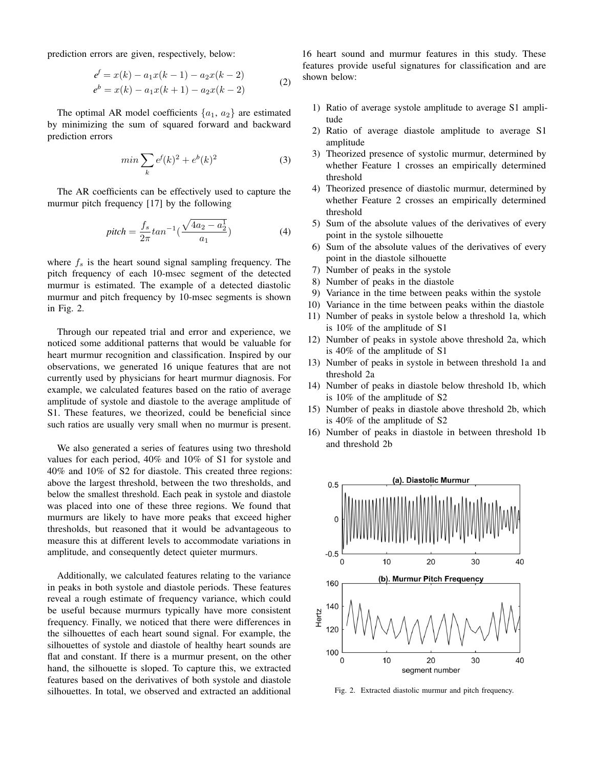prediction errors are given, respectively, below:

$$
ef = x(k) - a1x(k - 1) - a2x(k - 2)
$$
  
\n
$$
eb = x(k) - a1x(k + 1) - a2x(k - 2)
$$
 (2)

The optimal AR model coefficients  $\{a_1, a_2\}$  are estimated by minimizing the sum of squared forward and backward prediction errors

$$
min \sum_{k} e^{f}(k)^{2} + e^{b}(k)^{2}
$$
\n(3)

The AR coefficients can be effectively used to capture the murmur pitch frequency [17] by the following

$$
pitch = \frac{f_s}{2\pi} \tan^{-1}\left(\frac{\sqrt{4a_2 - a_2^1}}{a_1}\right) \tag{4}
$$

where  $f_s$  is the heart sound signal sampling frequency. The pitch frequency of each 10-msec segment of the detected murmur is estimated. The example of a detected diastolic murmur and pitch frequency by 10-msec segments is shown in Fig. 2.

Through our repeated trial and error and experience, we noticed some additional patterns that would be valuable for heart murmur recognition and classification. Inspired by our observations, we generated 16 unique features that are not currently used by physicians for heart murmur diagnosis. For example, we calculated features based on the ratio of average amplitude of systole and diastole to the average amplitude of S1. These features, we theorized, could be beneficial since such ratios are usually very small when no murmur is present.

We also generated a series of features using two threshold values for each period, 40% and 10% of S1 for systole and 40% and 10% of S2 for diastole. This created three regions: above the largest threshold, between the two thresholds, and below the smallest threshold. Each peak in systole and diastole was placed into one of these three regions. We found that murmurs are likely to have more peaks that exceed higher thresholds, but reasoned that it would be advantageous to measure this at different levels to accommodate variations in amplitude, and consequently detect quieter murmurs.

Additionally, we calculated features relating to the variance in peaks in both systole and diastole periods. These features reveal a rough estimate of frequency variance, which could be useful because murmurs typically have more consistent frequency. Finally, we noticed that there were differences in the silhouettes of each heart sound signal. For example, the silhouettes of systole and diastole of healthy heart sounds are flat and constant. If there is a murmur present, on the other hand, the silhouette is sloped. To capture this, we extracted features based on the derivatives of both systole and diastole silhouettes. In total, we observed and extracted an additional 16 heart sound and murmur features in this study. These features provide useful signatures for classification and are shown below:

- 1) Ratio of average systole amplitude to average S1 amplitude
- 2) Ratio of average diastole amplitude to average S1 amplitude
- 3) Theorized presence of systolic murmur, determined by whether Feature 1 crosses an empirically determined threshold
- 4) Theorized presence of diastolic murmur, determined by whether Feature 2 crosses an empirically determined threshold
- 5) Sum of the absolute values of the derivatives of every point in the systole silhouette
- 6) Sum of the absolute values of the derivatives of every point in the diastole silhouette
- 7) Number of peaks in the systole
- 8) Number of peaks in the diastole
- 9) Variance in the time between peaks within the systole
- 10) Variance in the time between peaks within the diastole
- 11) Number of peaks in systole below a threshold 1a, which is 10% of the amplitude of S1
- 12) Number of peaks in systole above threshold 2a, which is 40% of the amplitude of S1
- 13) Number of peaks in systole in between threshold 1a and threshold 2a
- 14) Number of peaks in diastole below threshold 1b, which is 10% of the amplitude of S2
- 15) Number of peaks in diastole above threshold 2b, which is 40% of the amplitude of S2
- 16) Number of peaks in diastole in between threshold 1b and threshold 2b



Fig. 2. Extracted diastolic murmur and pitch frequency.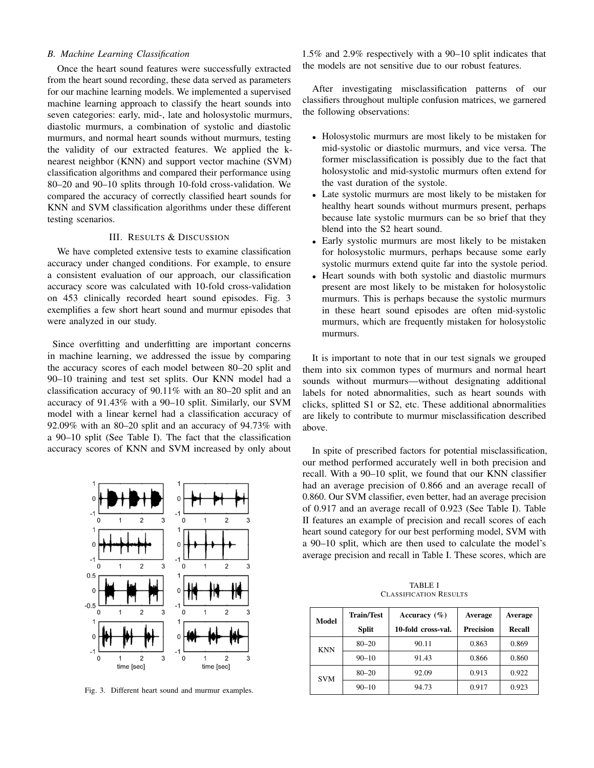# *B. Machine Learning Classification*

Once the heart sound features were successfully extracted from the heart sound recording, these data served as parameters for our machine learning models. We implemented a supervised machine learning approach to classify the heart sounds into seven categories: early, mid-, late and holosystolic murmurs, diastolic murmurs, a combination of systolic and diastolic murmurs, and normal heart sounds without murmurs, testing the validity of our extracted features. We applied the knearest neighbor (KNN) and support vector machine (SVM) classification algorithms and compared their performance using 80–20 and 90–10 splits through 10-fold cross-validation. We compared the accuracy of correctly classified heart sounds for KNN and SVM classification algorithms under these different testing scenarios.

# III. RESULTS & DISCUSSION

We have completed extensive tests to examine classification accuracy under changed conditions. For example, to ensure a consistent evaluation of our approach, our classification accuracy score was calculated with 10-fold cross-validation on 453 clinically recorded heart sound episodes. Fig. 3 exemplifies a few short heart sound and murmur episodes that were analyzed in our study.

Since overfitting and underfitting are important concerns in machine learning, we addressed the issue by comparing the accuracy scores of each model between 80–20 split and 90–10 training and test set splits. Our KNN model had a classification accuracy of 90.11% with an 80–20 split and an accuracy of 91.43% with a 90–10 split. Similarly, our SVM model with a linear kernel had a classification accuracy of 92.09% with an 80–20 split and an accuracy of 94.73% with a 90–10 split (See Table I). The fact that the classification accuracy scores of KNN and SVM increased by only about



Fig. 3. Different heart sound and murmur examples.

1.5% and 2.9% respectively with a 90–10 split indicates that the models are not sensitive due to our robust features.

After investigating misclassification patterns of our classifiers throughout multiple confusion matrices, we garnered the following observations:

- Holosystolic murmurs are most likely to be mistaken for mid-systolic or diastolic murmurs, and vice versa. The former misclassification is possibly due to the fact that holosystolic and mid-systolic murmurs often extend for the vast duration of the systole.
- Late systolic murmurs are most likely to be mistaken for healthy heart sounds without murmurs present, perhaps because late systolic murmurs can be so brief that they blend into the S2 heart sound.
- Early systolic murmurs are most likely to be mistaken for holosystolic murmurs, perhaps because some early systolic murmurs extend quite far into the systole period.
- Heart sounds with both systolic and diastolic murmurs present are most likely to be mistaken for holosystolic murmurs. This is perhaps because the systolic murmurs in these heart sound episodes are often mid-systolic murmurs, which are frequently mistaken for holosystolic murmurs.

It is important to note that in our test signals we grouped them into six common types of murmurs and normal heart sounds without murmurs—without designating additional labels for noted abnormalities, such as heart sounds with clicks, splitted S1 or S2, etc. These additional abnormalities are likely to contribute to murmur misclassification described above.

In spite of prescribed factors for potential misclassification, our method performed accurately well in both precision and recall. With a 90–10 split, we found that our KNN classifier had an average precision of 0.866 and an average recall of 0.860. Our SVM classifier, even better, had an average precision of 0.917 and an average recall of 0.923 (See Table I). Table II features an example of precision and recall scores of each heart sound category for our best performing model, SVM with a 90–10 split, which are then used to calculate the model's average precision and recall in Table I. These scores, which are

TABLE I CLASSIFICATION RESULTS

| Model      | <b>Train/Test</b> | Accuracy $(\% )$   | Average          | Average |
|------------|-------------------|--------------------|------------------|---------|
|            | <b>Split</b>      | 10-fold cross-val. | <b>Precision</b> | Recall  |
| <b>KNN</b> | $80 - 20$         | 90.11              | 0.863            | 0.869   |
|            | $90 - 10$         | 91.43              | 0.866            | 0.860   |
| <b>SVM</b> | $80 - 20$         | 92.09              | 0.913            | 0.922   |
|            | $90 - 10$         | 94.73              | 0.917            | 0.923   |